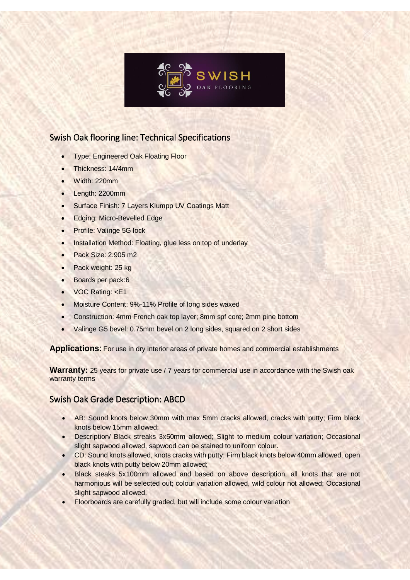

 $\overline{\phantom{a}}$ 

## Swish Oak flooring line: Technical Specifications

- Type: Engineered Oak Floating Floor
- Thickness: 14/4mm
- Width: 220mm
- Length: 2200mm
- Surface Finish: 7 Layers Klumpp UV Coatings Matt
- Edging: Micro-Bevelled Edge
- Profile: Valinge 5G lock
- Installation Method: Floating, glue less on top of underlay
- Pack Size: 2.905 m2
- Pack weight: 25 kg
- Boards per pack:6
- VOC Rating: <E1
- Moisture Content: 9%-11% Profile of long sides waxed
- Construction: 4mm French oak top layer; 8mm spf core; 2mm pine bottom
- Valinge G5 bevel: 0.75mm bevel on 2 long sides, squared on 2 short sides

**Applications**: For use in dry interior areas of private homes and commercial establishments

**Warranty:** 25 years for private use / 7 years for commercial use in accordance with the Swish oak warranty terms

## Swish Oak Grade Description: ABCD

- AB: Sound knots below 30mm with max 5mm cracks allowed, cracks with putty; Firm black knots below 15mm allowed;
- Description/ Black streaks 3x50mm allowed; Slight to medium colour variation; Occasional slight sapwood allowed, sapwood can be stained to uniform colour.
- CD: Sound knots allowed, knots cracks with putty; Firm black knots below 40mm allowed, open black knots with putty below 20mm allowed;
- Black steaks 5x100mm allowed and based on above description, all knots that are not harmonious will be selected out; colour variation allowed, wild colour not allowed; Occasional slight sapwood allowed.
- Floorboards are carefully graded, but will include some colour variation